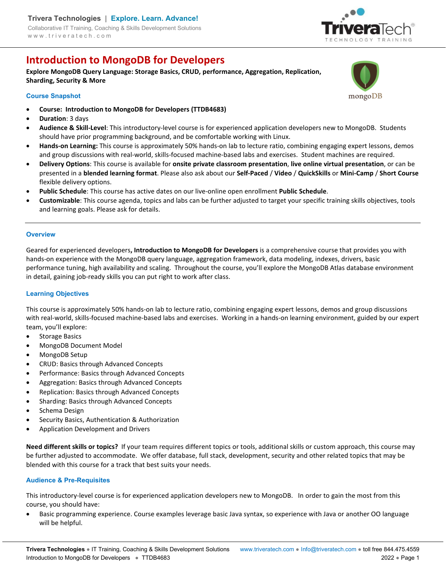# **Introduction to MongoDB for Developers**

**Explore MongoDB Query Language: Storage Basics, CRUD, performance, Aggregation, Replication, Sharding, Security & More** 

# **Course Snapshot**

- **Course: Introduction to MongoDB for Developers (TTDB4683)**
- **Duration**: 3 days
- **Audience & Skill-Level**: This introductory-level course is for experienced application developers new to MongoDB. Students should have prior programming background, and be comfortable working with Linux.
- **Hands-on Learning:** This course is approximately 50% hands-on lab to lecture ratio, combining engaging expert lessons, demos and group discussions with real-world, skills-focused machine-based labs and exercises. Student machines are required.
- **Delivery Options**: This course is available for **onsite private classroom presentation**, **live online virtual presentation**, or can be presented in a **blended learning format**. Please also ask about our **Self-Paced** / **Video** / **QuickSkills** or **Mini-Camp** / **Short Course** flexible delivery options.
- **Public Schedule**: This course has active dates on our live-online open enrollment **Public Schedule**.
- **Customizable**: This course agenda, topics and labs can be further adjusted to target your specific training skills objectives, tools and learning goals. Please ask for details.

#### **Overview**

Geared for experienced developers**, Introduction to MongoDB for Developers** is a comprehensive course that provides you with hands-on experience with the MongoDB query language, aggregation framework, data modeling, indexes, drivers, basic performance tuning, high availability and scaling. Throughout the course, you'll explore the MongoDB Atlas database environment in detail, gaining job-ready skills you can put right to work after class.

# **Learning Objectives**

This course is approximately 50% hands-on lab to lecture ratio, combining engaging expert lessons, demos and group discussions with real-world, skills-focused machine-based labs and exercises. Working in a hands-on learning environment, guided by our expert team, you'll explore:

- Storage Basics
- MongoDB Document Model
- MongoDB Setup
- CRUD: Basics through Advanced Concepts
- Performance: Basics through Advanced Concepts
- Aggregation: Basics through Advanced Concepts
- Replication: Basics through Advanced Concepts
- Sharding: Basics through Advanced Concepts
- Schema Design
- Security Basics, Authentication & Authorization
- Application Development and Drivers

**Need different skills or topics?** If your team requires different topics or tools, additional skills or custom approach, this course may be further adjusted to accommodate. We offer database, full stack, development, security and other related topics that may be blended with this course for a track that best suits your needs.

#### **Audience & Pre-Requisites**

This introductory-level course is for experienced application developers new to MongoDB. In order to gain the most from this course, you should have:

 Basic programming experience. Course examples leverage basic Java syntax, so experience with Java or another OO language will be helpful.

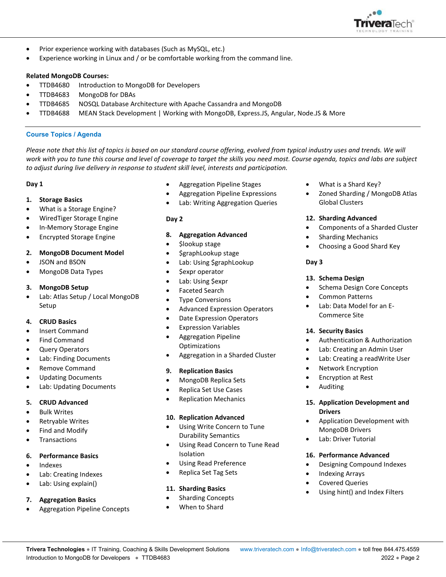

- Prior experience working with databases (Such as MySQL, etc.)
- Experience working in Linux and / or be comfortable working from the command line.

### **Related MongoDB Courses:**

- TTDB4680 Introduction to MongoDB for Developers
- TTDB4683 MongoDB for DBAs
- TTDB4685 NOSQL Database Architecture with Apache Cassandra and MongoDB
- TTDB4688 MEAN Stack Development | Working with MongoDB, Express.JS, Angular, Node.JS & More

#### **Course Topics / Agenda**

Please note that this list of topics is based on our standard course offering, evolved from typical industry uses and trends. We will *work with you to tune this course and level of coverage to target the skills you need most. Course agenda, topics and labs are subject to adjust during live delivery in response to student skill level, interests and participation.* 

# **Day 1**

# **1. Storage Basics**

- What is a Storage Engine?
- WiredTiger Storage Engine
- In-Memory Storage Engine
- Encrypted Storage Engine

# **2. MongoDB Document Model**

- JSON and BSON
- MongoDB Data Types

# **3. MongoDB Setup**

 Lab: Atlas Setup / Local MongoDB Setup

# **4. CRUD Basics**

- Insert Command
- Find Command
- Query Operators
- Lab: Finding Documents
- Remove Command
- Updating Documents
- Lab: Updating Documents

# **5. CRUD Advanced**

- Bulk Writes
- Retryable Writes
- Find and Modify
- **Transactions**

#### **6. Performance Basics**

- Indexes
- Lab: Creating Indexes
- Lab: Using explain()

# **7. Aggregation Basics**

Aggregation Pipeline Concepts

- Aggregation Pipeline Stages
- Aggregation Pipeline Expressions
- Lab: Writing Aggregation Queries

# **Day 2**

- **8. Aggregation Advanced**
- \$lookup stage
- \$graphLookup stage
- Lab: Using \$graphLookup
- \$expr operator
- Lab: Using \$expr
- Faceted Search
- Type Conversions
- **•** Advanced Expression Operators
- Date Expression Operators
- Expression Variables
- Aggregation Pipeline **Optimizations**
- Aggregation in a Sharded Cluster

# **9. Replication Basics**

- MongoDB Replica Sets
- Replica Set Use Cases
- Replication Mechanics

#### **10. Replication Advanced**

- Using Write Concern to Tune Durability Semantics
- Using Read Concern to Tune Read Isolation
- Using Read Preference
- Replica Set Tag Sets

#### **11. Sharding Basics**

- Sharding Concepts
- When to Shard
- What is a Shard Key?
- Zoned Sharding / MongoDB Atlas Global Clusters

# **12. Sharding Advanced**

- Components of a Sharded Cluster
- Sharding Mechanics
- Choosing a Good Shard Key

# **Day 3**

# **13. Schema Design**

- Schema Design Core Concepts
- Common Patterns
- Lab: Data Model for an E-Commerce Site

#### **14. Security Basics**

- Authentication & Authorization
- Lab: Creating an Admin User
- Lab: Creating a readWrite User
- Network Encryption
- Encryption at Rest
- Auditing

# **15. Application Development and Drivers**

- Application Development with MongoDB Drivers
- Lab: Driver Tutorial

#### **16. Performance Advanced**

- Designing Compound Indexes
- Indexing Arrays
- Covered Queries
- Using hint() and Index Filters